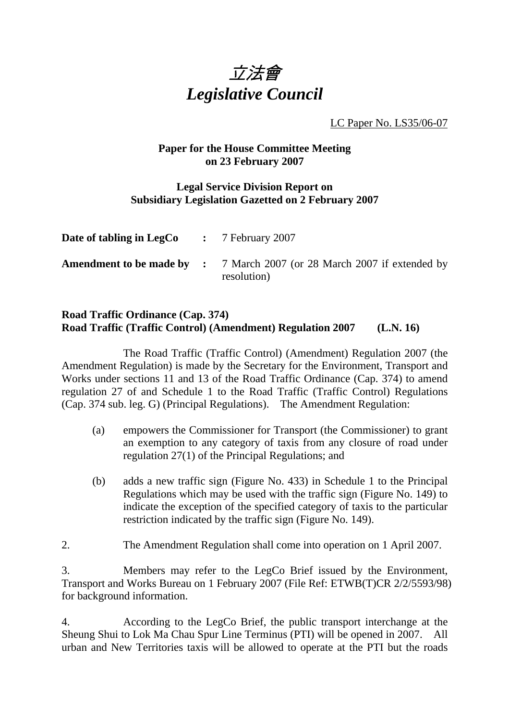

LC Paper No. LS35/06-07

# **Paper for the House Committee Meeting on 23 February 2007**

## **Legal Service Division Report on Subsidiary Legislation Gazetted on 2 February 2007**

| <b>Date of tabling in LegCo</b> $\cdot$ 7 February 2007 |                                                                                               |
|---------------------------------------------------------|-----------------------------------------------------------------------------------------------|
|                                                         | <b>Amendment to be made by :</b> 7 March 2007 (or 28 March 2007 if extended by<br>resolution) |

# **Road Traffic Ordinance (Cap. 374) Road Traffic (Traffic Control) (Amendment) Regulation 2007 (L.N. 16)**

 The Road Traffic (Traffic Control) (Amendment) Regulation 2007 (the Amendment Regulation) is made by the Secretary for the Environment, Transport and Works under sections 11 and 13 of the Road Traffic Ordinance (Cap. 374) to amend regulation 27 of and Schedule 1 to the Road Traffic (Traffic Control) Regulations (Cap. 374 sub. leg. G) (Principal Regulations). The Amendment Regulation:

- (a) empowers the Commissioner for Transport (the Commissioner) to grant an exemption to any category of taxis from any closure of road under regulation 27(1) of the Principal Regulations; and
- (b) adds a new traffic sign (Figure No. 433) in Schedule 1 to the Principal Regulations which may be used with the traffic sign (Figure No. 149) to indicate the exception of the specified category of taxis to the particular restriction indicated by the traffic sign (Figure No. 149).
- 2. The Amendment Regulation shall come into operation on 1 April 2007.

3. Members may refer to the LegCo Brief issued by the Environment, Transport and Works Bureau on 1 February 2007 (File Ref: ETWB(T)CR 2/2/5593/98) for background information.

4. According to the LegCo Brief, the public transport interchange at the Sheung Shui to Lok Ma Chau Spur Line Terminus (PTI) will be opened in 2007. All urban and New Territories taxis will be allowed to operate at the PTI but the roads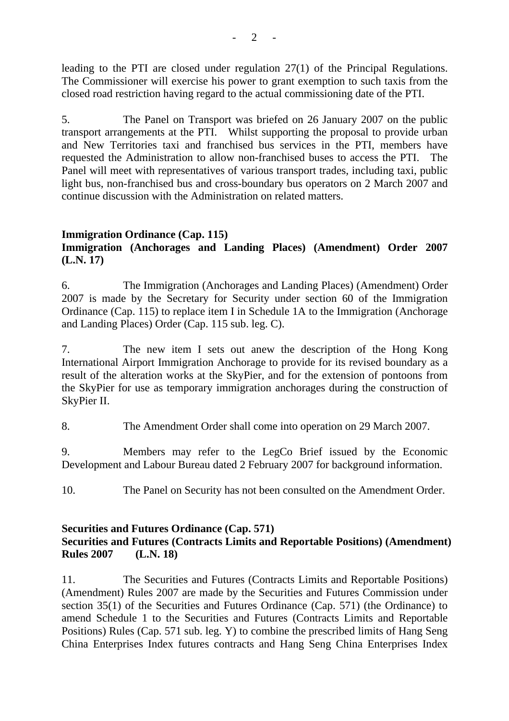leading to the PTI are closed under regulation 27(1) of the Principal Regulations. The Commissioner will exercise his power to grant exemption to such taxis from the closed road restriction having regard to the actual commissioning date of the PTI.

5. The Panel on Transport was briefed on 26 January 2007 on the public transport arrangements at the PTI. Whilst supporting the proposal to provide urban and New Territories taxi and franchised bus services in the PTI, members have requested the Administration to allow non-franchised buses to access the PTI. The Panel will meet with representatives of various transport trades, including taxi, public light bus, non-franchised bus and cross-boundary bus operators on 2 March 2007 and continue discussion with the Administration on related matters.

### **Immigration Ordinance (Cap. 115)**

# **Immigration (Anchorages and Landing Places) (Amendment) Order 2007 (L.N. 17)**

6. The Immigration (Anchorages and Landing Places) (Amendment) Order 2007 is made by the Secretary for Security under section 60 of the Immigration Ordinance (Cap. 115) to replace item I in Schedule 1A to the Immigration (Anchorage and Landing Places) Order (Cap. 115 sub. leg. C).

7. The new item I sets out anew the description of the Hong Kong International Airport Immigration Anchorage to provide for its revised boundary as a result of the alteration works at the SkyPier, and for the extension of pontoons from the SkyPier for use as temporary immigration anchorages during the construction of SkyPier II.

8. The Amendment Order shall come into operation on 29 March 2007.

9. Members may refer to the LegCo Brief issued by the Economic Development and Labour Bureau dated 2 February 2007 for background information.

10. The Panel on Security has not been consulted on the Amendment Order.

### **Securities and Futures Ordinance (Cap. 571) Securities and Futures (Contracts Limits and Reportable Positions) (Amendment) Rules 2007 (L.N. 18)**

11. The Securities and Futures (Contracts Limits and Reportable Positions) (Amendment) Rules 2007 are made by the Securities and Futures Commission under section 35(1) of the Securities and Futures Ordinance (Cap. 571) (the Ordinance) to amend Schedule 1 to the Securities and Futures (Contracts Limits and Reportable Positions) Rules (Cap. 571 sub. leg. Y) to combine the prescribed limits of Hang Seng China Enterprises Index futures contracts and Hang Seng China Enterprises Index